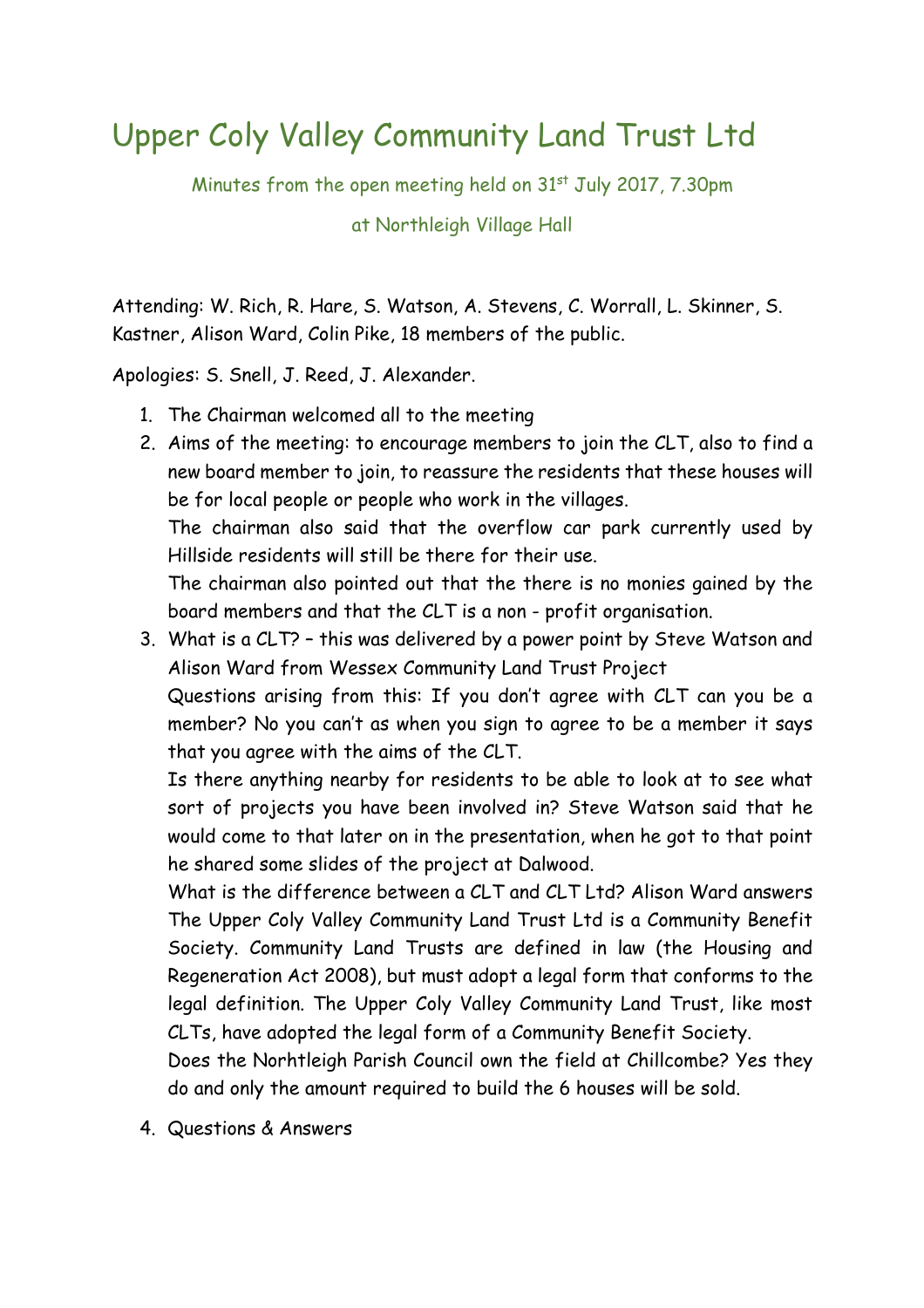## Upper Coly Valley Community Land Trust Ltd

Minutes from the open meeting held on 31<sup>st</sup> July 2017, 7.30pm

at Northleigh Village Hall

Attending: W. Rich, R. Hare, S. Watson, A. Stevens, C. Worrall, L. Skinner, S. Kastner, Alison Ward, Colin Pike, 18 members of the public.

Apologies: S. Snell, J. Reed, J. Alexander.

- 1. The Chairman welcomed all to the meeting
- 2. Aims of the meeting: to encourage members to join the CLT, also to find a new board member to join, to reassure the residents that these houses will be for local people or people who work in the villages.

The chairman also said that the overflow car park currently used by Hillside residents will still be there for their use.

The chairman also pointed out that the there is no monies gained by the board members and that the CLT is a non - profit organisation.

3. What is a CLT? – this was delivered by a power point by Steve Watson and Alison Ward from Wessex Community Land Trust Project

Questions arising from this: If you don't agree with CLT can you be a member? No you can't as when you sign to agree to be a member it says that you agree with the aims of the CLT.

Is there anything nearby for residents to be able to look at to see what sort of projects you have been involved in? Steve Watson said that he would come to that later on in the presentation, when he got to that point he shared some slides of the project at Dalwood.

What is the difference between a CLT and CLT Ltd? Alison Ward answers The Upper Coly Valley Community Land Trust Ltd is a Community Benefit Society. Community Land Trusts are defined in law (the Housing and Regeneration Act 2008), but must adopt a legal form that conforms to the legal definition. The Upper Coly Valley Community Land Trust, like most CLTs, have adopted the legal form of a Community Benefit Society.

Does the Norhtleigh Parish Council own the field at Chillcombe? Yes they do and only the amount required to build the 6 houses will be sold.

4. Questions & Answers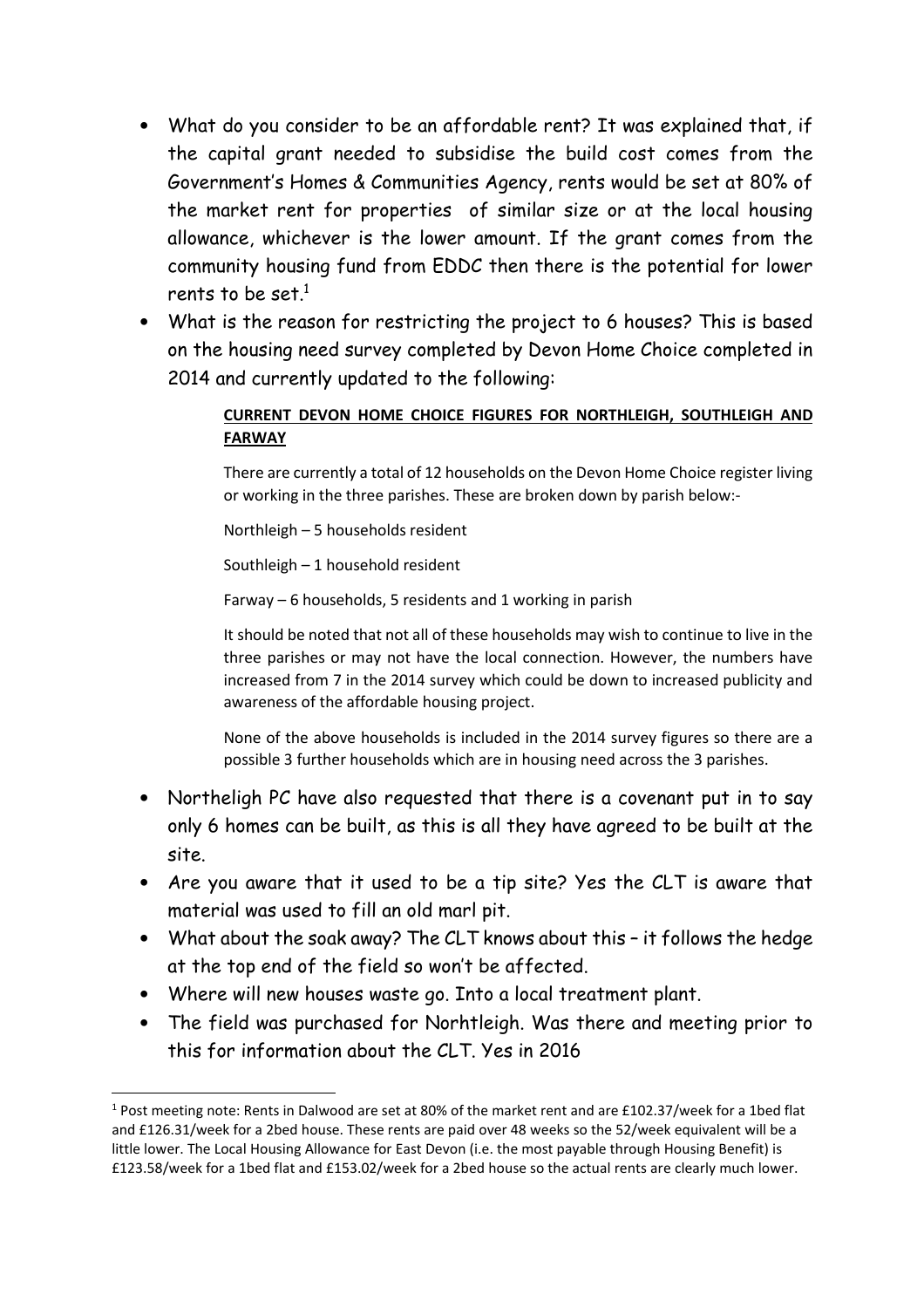- What do you consider to be an affordable rent? It was explained that, if the capital grant needed to subsidise the build cost comes from the Government's Homes & Communities Agency, rents would be set at 80% of the market rent for properties of similar size or at the local housing allowance, whichever is the lower amount. If the grant comes from the community housing fund from EDDC then there is the potential for lower rents to be set. $^{\rm 1}$
- What is the reason for restricting the project to 6 houses? This is based on the housing need survey completed by Devon Home Choice completed in 2014 and currently updated to the following:

## **CURRENT DEVON HOME CHOICE FIGURES FOR NORTHLEIGH, SOUTHLEIGH AND FARWAY**

There are currently a total of 12 households on the Devon Home Choice register living or working in the three parishes. These are broken down by parish below:-

Northleigh – 5 households resident

Southleigh – 1 household resident

Farway – 6 households, 5 residents and 1 working in parish

It should be noted that not all of these households may wish to continue to live in the three parishes or may not have the local connection. However, the numbers have increased from 7 in the 2014 survey which could be down to increased publicity and awareness of the affordable housing project.

None of the above households is included in the 2014 survey figures so there are a possible 3 further households which are in housing need across the 3 parishes.

- Northeligh PC have also requested that there is a covenant put in to say only 6 homes can be built, as this is all they have agreed to be built at the site.
- Are you aware that it used to be a tip site? Yes the CLT is aware that material was used to fill an old marl pit.
- What about the soak away? The CLT knows about this it follows the hedge at the top end of the field so won't be affected.
- Where will new houses waste go. Into a local treatment plant.

 $\overline{a}$ 

• The field was purchased for Norhtleigh. Was there and meeting prior to this for information about the CLT. Yes in 2016

<sup>&</sup>lt;sup>1</sup> Post meeting note: Rents in Dalwood are set at 80% of the market rent and are £102.37/week for a 1bed flat and £126.31/week for a 2bed house. These rents are paid over 48 weeks so the 52/week equivalent will be a little lower. The Local Housing Allowance for East Devon (i.e. the most payable through Housing Benefit) is £123.58/week for a 1bed flat and £153.02/week for a 2bed house so the actual rents are clearly much lower.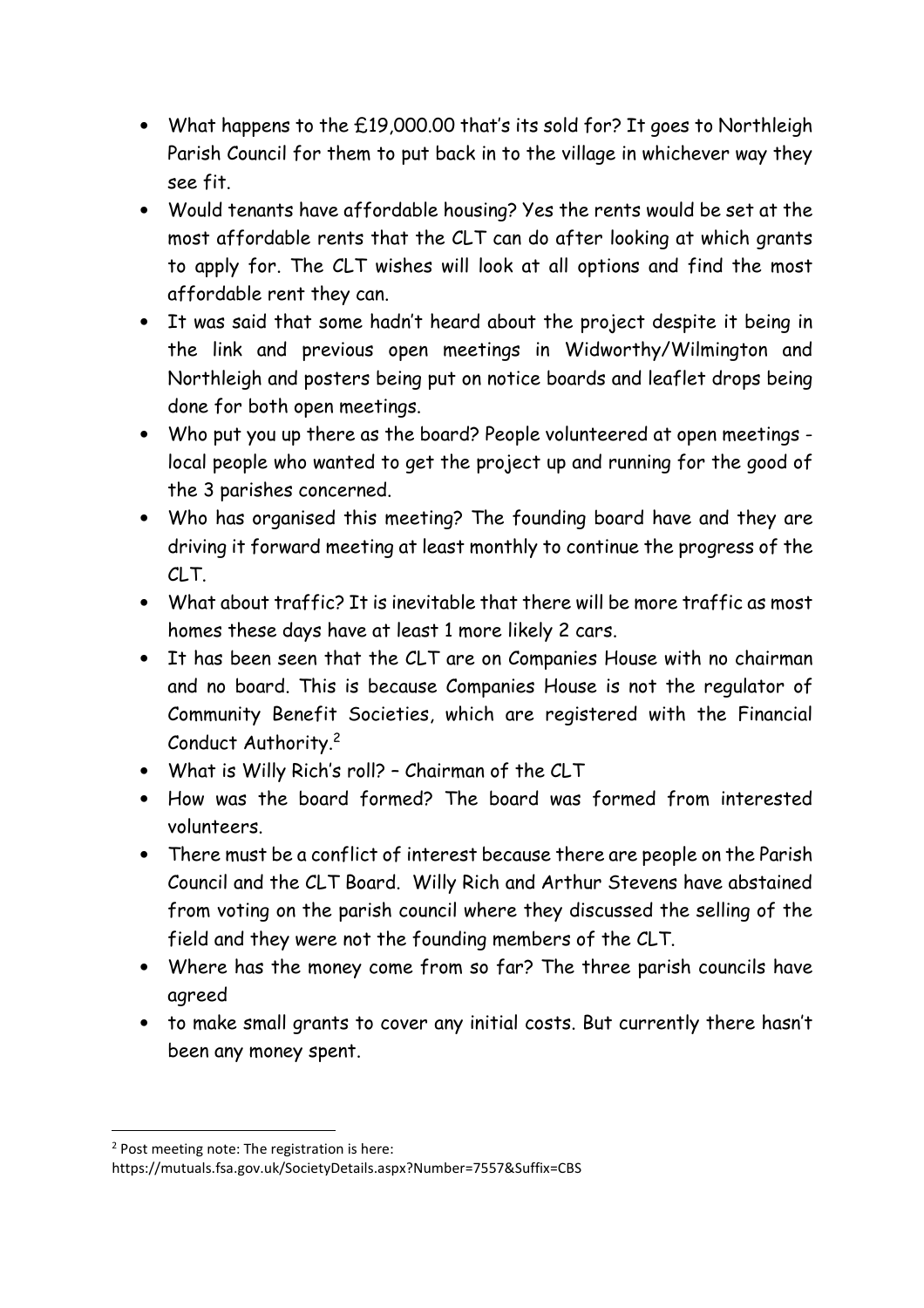- What happens to the £19,000.00 that's its sold for? It goes to Northleigh Parish Council for them to put back in to the village in whichever way they see fit.
- Would tenants have affordable housing? Yes the rents would be set at the most affordable rents that the CLT can do after looking at which grants to apply for. The CLT wishes will look at all options and find the most affordable rent they can.
- It was said that some hadn't heard about the project despite it being in the link and previous open meetings in Widworthy/Wilmington and Northleigh and posters being put on notice boards and leaflet drops being done for both open meetings.
- Who put you up there as the board? People volunteered at open meetings local people who wanted to get the project up and running for the good of the 3 parishes concerned.
- Who has organised this meeting? The founding board have and they are driving it forward meeting at least monthly to continue the progress of the CLT.
- What about traffic? It is inevitable that there will be more traffic as most homes these days have at least 1 more likely 2 cars.
- It has been seen that the CLT are on Companies House with no chairman and no board. This is because Companies House is not the regulator of Community Benefit Societies, which are registered with the Financial Conduct Authority.<sup>2</sup>
- What is Willy Rich's roll? Chairman of the CLT
- How was the board formed? The board was formed from interested volunteers.
- There must be a conflict of interest because there are people on the Parish Council and the CLT Board. Willy Rich and Arthur Stevens have abstained from voting on the parish council where they discussed the selling of the field and they were not the founding members of the CLT.
- Where has the money come from so far? The three parish councils have agreed
- to make small grants to cover any initial costs. But currently there hasn't been any money spent.

 $\overline{\phantom{0}}$ 

<sup>&</sup>lt;sup>2</sup> Post meeting note: The registration is here:

https://mutuals.fsa.gov.uk/SocietyDetails.aspx?Number=7557&Suffix=CBS